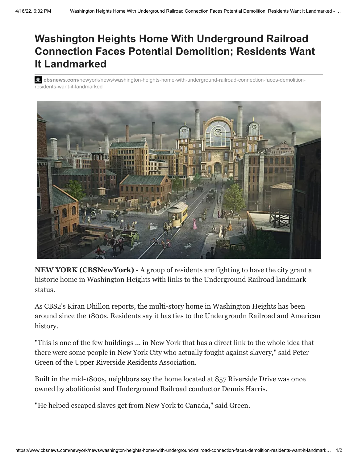## **Washington Heights Home With Underground Railroad Connection Faces Potential Demolition; Residents Want It Landmarked**

**2** cbsnews.com[/newyork/news/washington-heights-home-with-underground-railroad-connection-faces-demolition](https://www.cbsnews.com/newyork/news/washington-heights-home-with-underground-railroad-connection-faces-demolition-residents-want-it-landmarked/)residents-want-it-landmarked



**NEW YORK (CBSNewYork)** - A group of residents are fighting to have the city grant a historic home in [Washington Heights](http://newyork.cbslocal.com/tag/washington-heights) with links to the [Underground Railroad](http://newyork.cbslocal.com/tag/underground-railroad) landmark status.

As CBS2's Kiran Dhillon reports, the multi-story home in Washington Heights has been around since the 1800s. Residents say it has ties to the Undergroudn Railroad and American history.

"This is one of the few buildings ... in New York that has a direct link to the whole idea that there were some people in New York City who actually fought against slavery," said Peter Green of the Upper Riverside Residents Association.

Built in the mid-1800s, neighbors say the home located at 857 Riverside Drive was once owned by abolitionist and Underground Railroad conductor Dennis Harris.

"He helped escaped slaves get from New York to Canada," said Green.